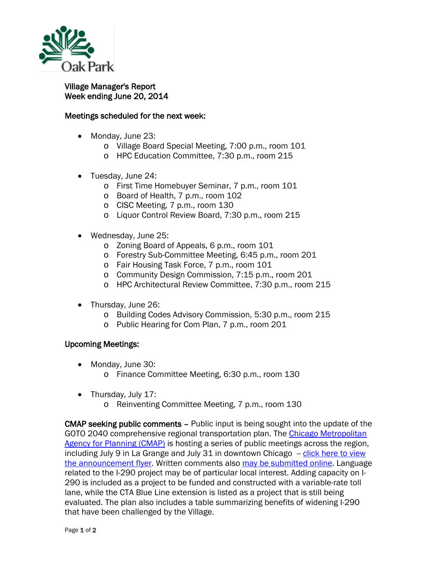

## Village Manager's Report Week ending June 20, 2014

## Meetings scheduled for the next week:

- Monday, June 23:
	- o Village Board Special Meeting, 7:00 p.m., room 101
	- o HPC Education Committee, 7:30 p.m., room 215
- Tuesday, June 24:
	- o First Time Homebuyer Seminar, 7 p.m., room 101
	- o Board of Health, 7 p.m., room 102
	- o CISC Meeting, 7 p.m., room 130
	- o Liquor Control Review Board, 7:30 p.m., room 215
- Wednesday, June 25:
	- o Zoning Board of Appeals, 6 p.m., room 101
	- o Forestry Sub-Committee Meeting, 6:45 p.m., room 201
	- o Fair Housing Task Force, 7 p.m., room 101
	- o Community Design Commission, 7:15 p.m., room 201
	- o HPC Architectural Review Committee, 7:30 p.m., room 215
- Thursday, June 26:
	- o Building Codes Advisory Commission, 5:30 p.m., room 215
	- o Public Hearing for Com Plan, 7 p.m., room 201

## Upcoming Meetings:

- Monday, June 30:
	- o Finance Committee Meeting, 6:30 p.m., room 130
- Thursday, July 17:
	- o Reinventing Committee Meeting, 7 p.m., room 130

CMAP seeking public comments – Public input is being sought into the update of the GOTO 2040 comprehensive regional transportation plan. The [Chicago Metropolitan](http://r20.rs6.net/tn.jsp?e=001xjsVdgCnHXsE1nVmTzOwLtFKcUyaJirxxXJac6y0EwyMiMzS5d0u2HMuiyixttKAyQYryZIO3x0aQzF1bwi0DpNosBftBKeGgwYuZvEoUNGtP2i4Ao_PAA==)  [Agency for Planning \(CMAP\)](http://r20.rs6.net/tn.jsp?e=001xjsVdgCnHXsE1nVmTzOwLtFKcUyaJirxxXJac6y0EwyMiMzS5d0u2HMuiyixttKAyQYryZIO3x0aQzF1bwi0DpNosBftBKeGgwYuZvEoUNGtP2i4Ao_PAA==) is hosting a series of public meetings across the region, including July 9 in La Grange and July 31 in downtown Chicago -- [click here to view](http://www.cmap.illinois.gov/documents/10180/273487/Plan+Update+Public+Meetings+Schedule/750e5d90-2d22-47fe-a24b-318c8d39bdbc)  [the announcement flyer.](http://www.cmap.illinois.gov/documents/10180/273487/Plan+Update+Public+Meetings+Schedule/750e5d90-2d22-47fe-a24b-318c8d39bdbc) Written comments also [may be submitted online.](http://r20.rs6.net/tn.jsp?e=001xjsVdgCnHXsE1nVmTzOwLtFKcUyaJirxxXJac6y0EwyMiMzS5d0u2HMuiyixttKAyQYryZIO3x0aQzF1bwi0DpNosBftBKeGgwYuZvEoUNF5GaQ80LEz7KMY52gxBp2DJ4R_rQ1Xncb267L47Wj4T3Ja4RL_ZT5DyuRkI6mdvEU=) Language related to the I-290 project may be of particular local interest. Adding capacity on I-290 is included as a project to be funded and constructed with a variable-rate toll lane, while the CTA Blue Line extension is listed as a project that is still being evaluated. The plan also includes a table summarizing benefits of widening I-290 that have been challenged by the Village.